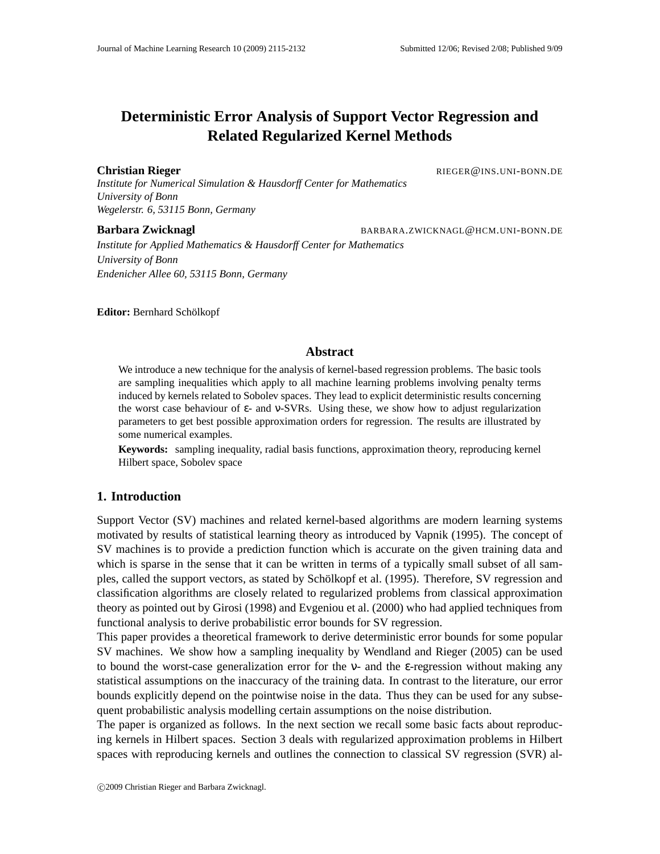# **Deterministic Error Analysis of Support Vector Regression and Related Regularized Kernel Methods**

#### **Christian Rieger Christian Rieger RIEGER RIEGER RIEGER RIEGER RIEGER RIEGER RIEGER RIEGER RIEGER RIEGER RIEGER RIEGER RIEGER RIEGER RIEGER RIEGER RIEGER RIEGER RIEGER RIEGER RIE**

*Institute for Numerical Simulation & Hausdorff Center for Mathematics University of Bonn Wegelerstr. 6, 53115 Bonn, Germany*

**Barbara Zwicknagl** BARBARA.ZWICKNAGL@HCM.UNI-BONN.DE

*Institute for Applied Mathematics & Hausdorff Center for Mathematics University of Bonn Endenicher Allee 60, 53115 Bonn, Germany*

**Editor:** Bernhard Schölkopf

# **Abstract**

We introduce a new technique for the analysis of kernel-based regression problems. The basic tools are sampling inequalities which apply to all machine learning problems involving penalty terms induced by kernels related to Sobolev spaces. They lead to explicit deterministic results concerning the worst case behaviour of  $\varepsilon$ - and v-SVRs. Using these, we show how to adjust regularization parameters to get best possible approximation orders for regression. The results are illustrated by some numerical examples.

**Keywords:** sampling inequality, radial basis functions, approximation theory, reproducing kernel Hilbert space, Sobolev space

# **1. Introduction**

Support Vector (SV) machines and related kernel-based algorithms are modern learning systems motivated by results of statistical learning theory as introduced by Vapnik (1995). The concept of SV machines is to provide a prediction function which is accurate on the given training data and which is sparse in the sense that it can be written in terms of a typically small subset of all samples, called the support vectors, as stated by Schölkopf et al. (1995). Therefore, SV regression and classification algorithms are closely related to regularized problems from classical approximation theory as pointed out by Girosi (1998) and Evgeniou et al. (2000) who had applied techniques from functional analysis to derive probabilistic error bounds for SV regression.

This paper provides a theoretical framework to derive deterministic error bounds for some popular SV machines. We show how a sampling inequality by Wendland and Rieger (2005) can be used to bound the worst-case generalization error for the ν- and the ε-regression without making any statistical assumptions on the inaccuracy of the training data. In contrast to the literature, our error bounds explicitly depend on the pointwise noise in the data. Thus they can be used for any subsequent probabilistic analysis modelling certain assumptions on the noise distribution.

The paper is organized as follows. In the next section we recall some basic facts about reproducing kernels in Hilbert spaces. Section 3 deals with regularized approximation problems in Hilbert spaces with reproducing kernels and outlines the connection to classical SV regression (SVR) al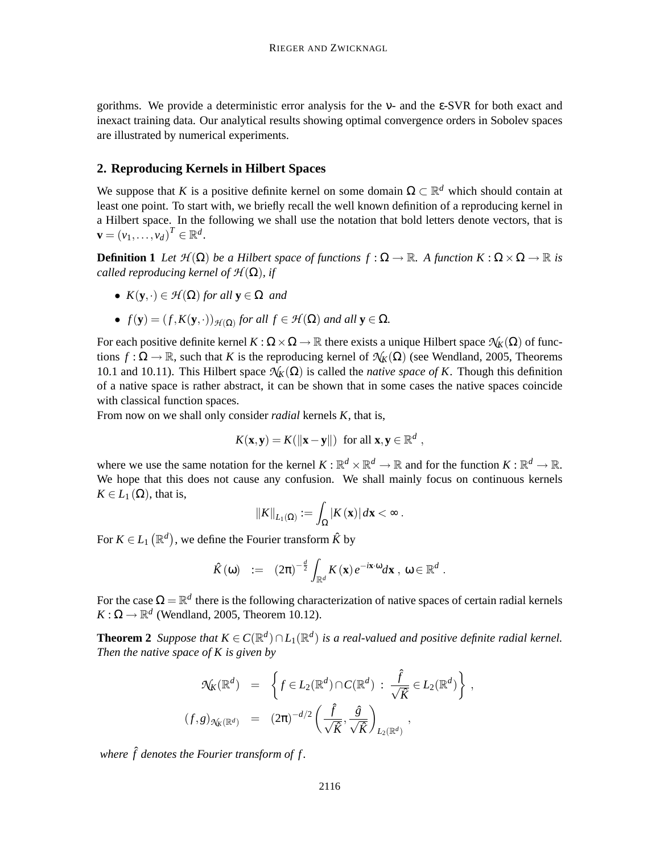gorithms. We provide a deterministic error analysis for the ν- and the ε-SVR for both exact and inexact training data. Our analytical results showing optimal convergence orders in Sobolev spaces are illustrated by numerical experiments.

#### **2. Reproducing Kernels in Hilbert Spaces**

We suppose that *K* is a positive definite kernel on some domain  $\Omega \subset \mathbb{R}^d$  which should contain at least one point. To start with, we briefly recall the well known definition of a reproducing kernel in a Hilbert space. In the following we shall use the notation that bold letters denote vectors, that is  $\mathbf{v} = (v_1, \ldots, v_d)^T \in \mathbb{R}^d$ .

**Definition 1** Let  $\mathcal{H}(\Omega)$  be a Hilbert space of functions  $f : \Omega \to \mathbb{R}$ . A function  $K : \Omega \times \Omega \to \mathbb{R}$  is *called reproducing kernel of*  $H(\Omega)$ *, if* 

- $K(\mathbf{y}, \cdot) \in \mathcal{H}(\Omega)$  *for all*  $\mathbf{y} \in \Omega$  *and*
- $f(\mathbf{y}) = (f, K(\mathbf{y}, \cdot))_{\mathcal{H}(\Omega)}$  *for all*  $f \in \mathcal{H}(\Omega)$  *and all*  $\mathbf{y} \in \Omega$ *.*

For each positive definite kernel  $K : \Omega \times \Omega \to \mathbb{R}$  there exists a unique Hilbert space  $\mathcal{N}_K(\Omega)$  of functions  $f : \Omega \to \mathbb{R}$ , such that *K* is the reproducing kernel of  $\mathcal{N}_K(\Omega)$  (see Wendland, 2005, Theorems 10.1 and 10.11). This Hilbert space  $\mathcal{N}_k(\Omega)$  is called the *native space of K*. Though this definition of a native space is rather abstract, it can be shown that in some cases the native spaces coincide with classical function spaces.

From now on we shall only consider *radial* kernels *K*, that is,

$$
K(\mathbf{x}, \mathbf{y}) = K(||\mathbf{x} - \mathbf{y}||) \text{ for all } \mathbf{x}, \mathbf{y} \in \mathbb{R}^d,
$$

where we use the same notation for the kernel  $K : \mathbb{R}^d \times \mathbb{R}^d \to \mathbb{R}$  and for the function  $K : \mathbb{R}^d \to \mathbb{R}$ . We hope that this does not cause any confusion. We shall mainly focus on continuous kernels  $K \in L_1(\Omega)$ , that is,

$$
||K||_{L_1(\Omega)} := \int_{\Omega} |K(\mathbf{x})| \, d\mathbf{x} < \infty \, .
$$

For  $K \in L_1(\mathbb{R}^d)$ , we define the Fourier transform  $\hat{K}$  by

$$
\hat{K}(\omega) \quad := \quad (2\pi)^{-\frac{d}{2}} \int_{\mathbb{R}^d} K(\mathbf{x}) \, e^{-i\mathbf{x}\cdot\omega} d\mathbf{x} \, , \, \omega \in \mathbb{R}^d \; .
$$

For the case  $\Omega = \mathbb{R}^d$  there is the following characterization of native spaces of certain radial kernels  $K: \Omega \to \mathbb{R}^d$  (Wendland, 2005, Theorem 10.12).

**Theorem 2** *Suppose that*  $K \in C(\mathbb{R}^d) \cap L_1(\mathbb{R}^d)$  *is a real-valued and positive definite radial kernel. Then the native space of K is given by*

$$
\mathcal{N}_{K}(\mathbb{R}^{d}) = \left\{ f \in L_{2}(\mathbb{R}^{d}) \cap C(\mathbb{R}^{d}) : \frac{\hat{f}}{\sqrt{\hat{K}}} \in L_{2}(\mathbb{R}^{d}) \right\},
$$
  

$$
(f,g)_{\mathcal{N}_{K}(\mathbb{R}^{d})} = (2\pi)^{-d/2} \left( \frac{\hat{f}}{\sqrt{\hat{K}}}, \frac{\hat{g}}{\sqrt{\hat{K}}} \right)_{L_{2}(\mathbb{R}^{d})},
$$

*where* ˆ*f denotes the Fourier transform of f .*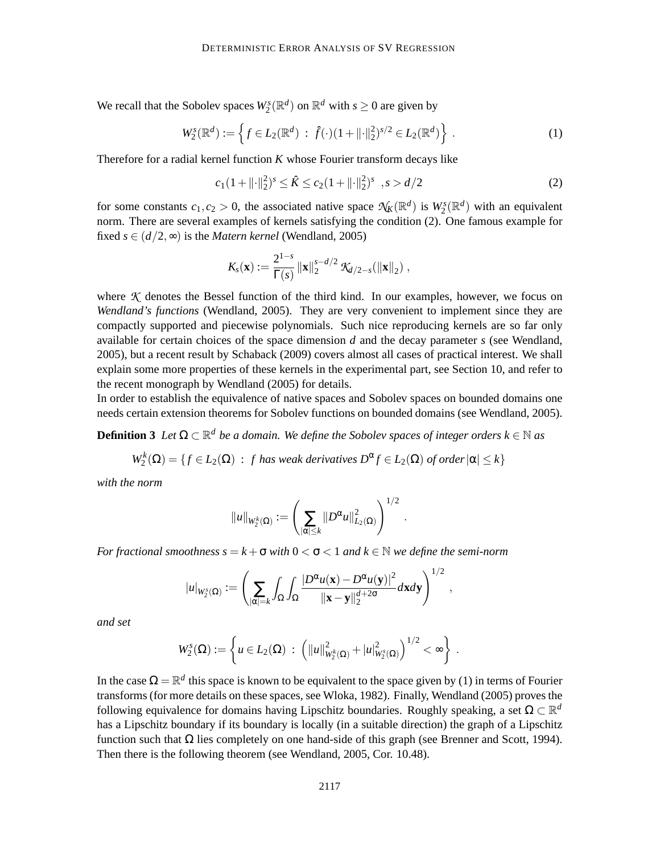We recall that the Sobolev spaces  $W_2^s(\mathbb{R}^d)$  on  $\mathbb{R}^d$  with  $s \geq 0$  are given by

$$
W_2^s(\mathbb{R}^d) := \left\{ f \in L_2(\mathbb{R}^d) \; : \; \hat{f}(\cdot)(1 + ||\cdot||_2^2)^{s/2} \in L_2(\mathbb{R}^d) \right\} \; . \tag{1}
$$

Therefore for a radial kernel function *K* whose Fourier transform decays like

$$
c_1(1+\|\cdot\|_2^2)^s \le \hat{K} \le c_2(1+\|\cdot\|_2^2)^s \quad , s > d/2
$$
 (2)

.

for some constants  $c_1, c_2 > 0$ , the associated native space  $\mathcal{N}_K(\mathbb{R}^d)$  is  $W_2^s(\mathbb{R}^d)$  with an equivalent norm. There are several examples of kernels satisfying the condition (2). One famous example for fixed  $s \in (d/2, \infty)$  is the *Matern kernel* (Wendland, 2005)

$$
K_{s}(\mathbf{x}) := \frac{2^{1-s}}{\Gamma(s)} ||\mathbf{x}||_{2}^{s-d/2} \mathcal{K}_{d/2-s}(||\mathbf{x}||_{2}),
$$

where  $K$  denotes the Bessel function of the third kind. In our examples, however, we focus on *Wendland's functions* (Wendland, 2005). They are very convenient to implement since they are compactly supported and piecewise polynomials. Such nice reproducing kernels are so far only available for certain choices of the space dimension *d* and the decay parameter *s* (see Wendland, 2005), but a recent result by Schaback (2009) covers almost all cases of practical interest. We shall explain some more properties of these kernels in the experimental part, see Section 10, and refer to the recent monograph by Wendland (2005) for details.

In order to establish the equivalence of native spaces and Sobolev spaces on bounded domains one needs certain extension theorems for Sobolev functions on bounded domains (see Wendland, 2005).

**Definition 3** Let  $\Omega \subset \mathbb{R}^d$  be a domain. We define the Sobolev spaces of integer orders  $k \in \mathbb{N}$  as

$$
W_2^k(\Omega) = \{ f \in L_2(\Omega) : f \text{ has weak derivatives } D^{\alpha} f \in L_2(\Omega) \text{ of order } |\alpha| \le k \}
$$

*with the norm*

$$
||u||_{W_2^k(\Omega)}:=\left(\sum_{|\alpha|\leq k}||D^{\alpha}u||^2_{L_2(\Omega)}\right)^{1/2}
$$

*For fractional smoothness s* =  $k + \sigma$  *with*  $0 < \sigma < 1$  *and*  $k \in \mathbb{N}$  *we define the semi-norm* 

$$
|u|_{W_2^s(\Omega)} := \left(\sum_{|\alpha|=k} \int_{\Omega} \int_{\Omega} \frac{|D^{\alpha} u(\mathbf{x}) - D^{\alpha} u(\mathbf{y})|^2}{\|\mathbf{x} - \mathbf{y}\|_2^{d+2\sigma}} d\mathbf{x} d\mathbf{y}\right)^{1/2},
$$

*and set*

$$
W_2^s(\Omega) := \left\{ u \in L_2(\Omega) \; : \; \left( ||u||^2_{W_2^k(\Omega)} + |u|^2_{W_2^s(\Omega)} \right)^{1/2} < \infty \right\} \; .
$$

In the case  $\Omega = \mathbb{R}^d$  this space is known to be equivalent to the space given by (1) in terms of Fourier transforms (for more details on these spaces, see Wloka, 1982). Finally, Wendland (2005) proves the following equivalence for domains having Lipschitz boundaries. Roughly speaking, a set  $\Omega \subset \mathbb{R}^d$ has a Lipschitz boundary if its boundary is locally (in a suitable direction) the graph of a Lipschitz function such that  $\Omega$  lies completely on one hand-side of this graph (see Brenner and Scott, 1994). Then there is the following theorem (see Wendland, 2005, Cor. 10.48).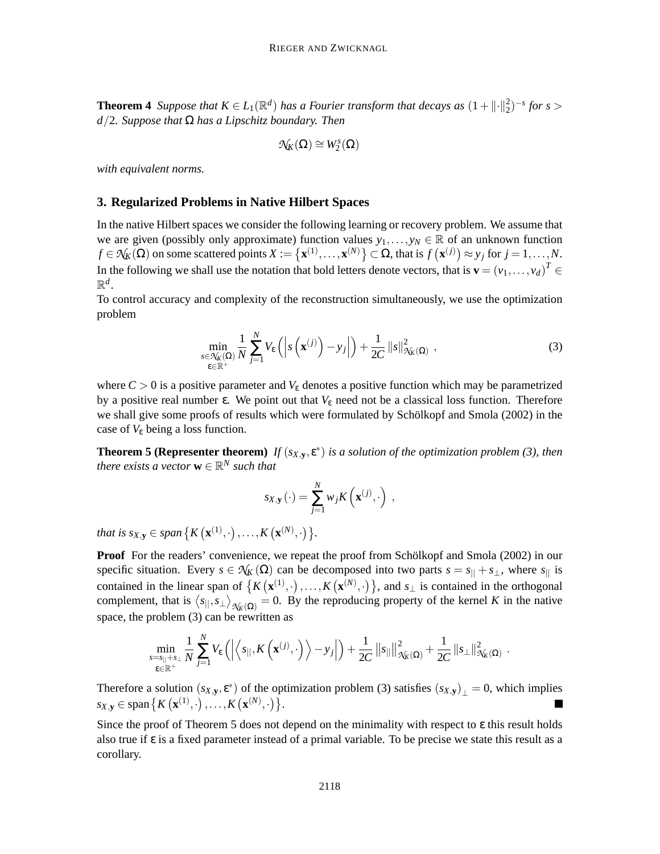**Theorem 4** *Suppose that*  $K \in L_1(\mathbb{R}^d)$  *has a Fourier transform that decays as*  $(1 + \| \cdot \|_2^2)$  $^{2}_{2})^{-s}$  *for s* > *d*/2*. Suppose that* Ω *has a Lipschitz boundary. Then*

$$
\mathcal{N}_{K}(\Omega)\cong W^{s}_{2}(\Omega)
$$

*with equivalent norms.*

#### **3. Regularized Problems in Native Hilbert Spaces**

In the native Hilbert spaces we consider the following learning or recovery problem. We assume that we are given (possibly only approximate) function values  $y_1, \ldots, y_N \in \mathbb{R}$  of an unknown function  $f \in \mathcal{N}_K(\Omega)$  on some scattered points  $X := \{ \mathbf{x}^{(1)}, \dots, \mathbf{x}^{(N)} \} \subset \Omega$ , that is  $f(\mathbf{x}^{(j)}) \approx y_j$  for  $j = 1, \dots, N$ . In the following we shall use the notation that bold letters denote vectors, that is  $\mathbf{v} = (v_1, \dots, v_d)^T \in$  $\mathbb{R}^d$ .

To control accuracy and complexity of the reconstruction simultaneously, we use the optimization problem

$$
\min_{\substack{s \in \mathcal{N}_{\mathcal{K}}(\Omega) \\ \varepsilon \in \mathbb{R}^+}} \frac{1}{N} \sum_{j=1}^N V_{\varepsilon} \left( \left| s \left( \mathbf{x}^{(j)} \right) - y_j \right| \right) + \frac{1}{2C} \left\| s \right\|_{\mathcal{N}_{\mathcal{K}}(\Omega)}^2 , \tag{3}
$$

where  $C > 0$  is a positive parameter and  $V_{\varepsilon}$  denotes a positive function which may be parametrized by a positive real number ε. We point out that  $V_{\epsilon}$  need not be a classical loss function. Therefore we shall give some proofs of results which were formulated by Schölkopf and Smola (2002) in the case of  $V_{\varepsilon}$  being a loss function.

**Theorem 5 (Representer theorem)** *If*  $(s_{X,y}, \varepsilon^*)$  *is a solution of the optimization problem (3), then there exists a vector*  $\mathbf{w} \in \mathbb{R}^N$  *such that* 

$$
s_{X,\mathbf{y}}(\cdot) = \sum_{j=1}^N w_j K\left(\mathbf{x}^{(j)},\cdot\right) ,
$$

*that is*  $s_{X, Y} \in span \{ K(\mathbf{x}^{(1)}, \cdot), ..., K(\mathbf{x}^{(N)}, \cdot) \}.$ 

**Proof** For the readers' convenience, we repeat the proof from Schölkopf and Smola (2002) in our specific situation. Every  $s \in \mathcal{N}_K(\Omega)$  can be decomposed into two parts  $s = s_{||} + s_{\perp}$ , where  $s_{||}$  is contained in the linear span of  $\{K(\mathbf{x}^{(1)},\cdot),\ldots,K(\mathbf{x}^{(N)},\cdot)\}\)$ , and  $s_{\perp}$  is contained in the orthogonal complement, that is  $\langle s_{||}, s_{\perp} \rangle_{\mathcal{N}_K(\Omega)} = 0$ . By the reproducing property of the kernel *K* in the native space, the problem (3) can be rewritten as

$$
\min_{\substack{s=s_{||}+s_{\perp}\\ \varepsilon\in\mathbb{R}^+}}\frac{1}{N}\sum_{j=1}^N V_{\varepsilon}\left(\left|\left\langle s_{||},K\left(\mathbf{x}^{(j)},\cdot\right)\right\rangle - y_j\right|\right) + \frac{1}{2C}\left\|s_{||}\right\|_{\mathcal{N}_{K}(\Omega)}^2 + \frac{1}{2C}\left\|s_{\perp}\right\|_{\mathcal{N}_{K}(\Omega)}^2.
$$

Therefore a solution  $(s_{X,y}, \varepsilon^*)$  of the optimization problem (3) satisfies  $(s_{X,y})_{\perp} = 0$ , which implies  $s_{X, Y} \in \text{span} \{ K(\mathbf{x}^{(1)}, \cdot), \dots, K(\mathbf{x}^{(N)}, \cdot) \}.$ 

Since the proof of Theorem 5 does not depend on the minimality with respect to  $\varepsilon$  this result holds also true if ε is a fixed parameter instead of a primal variable. To be precise we state this result as a corollary.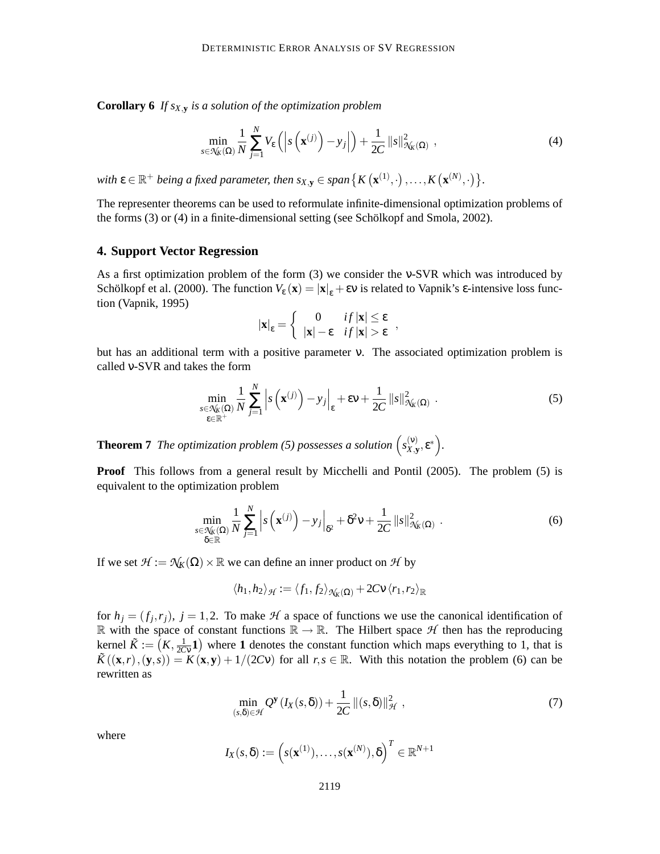**Corollary 6** *If sX*,**<sup>y</sup>** *is a solution of the optimization problem*

$$
\min_{s \in \mathcal{N}_{K}(\Omega)} \frac{1}{N} \sum_{j=1}^{N} V_{\varepsilon} \left( \left| s \left( \mathbf{x}^{(j)} \right) - y_{j} \right| \right) + \frac{1}{2C} \left\| s \right\|_{\mathcal{N}_{K}(\Omega)}^{2}, \qquad (4)
$$

with  $\epsilon \in \mathbb{R}^+$  being a fixed parameter, then  $s_{X,y} \in span\{K(\mathbf{x}^{(1)},\cdot),...,K(\mathbf{x}^{(N)},\cdot)\}$ .

The representer theorems can be used to reformulate infinite-dimensional optimization problems of the forms (3) or (4) in a finite-dimensional setting (see Schölkopf and Smola, 2002).

#### **4. Support Vector Regression**

As a first optimization problem of the form (3) we consider the ν-SVR which was introduced by Schölkopf et al. (2000). The function  $V_{\varepsilon}(\mathbf{x}) = |\mathbf{x}|_{\varepsilon} + \varepsilon v$  is related to Vapnik's  $\varepsilon$ -intensive loss function (Vapnik, 1995)

$$
|\mathbf{x}|_{\varepsilon} = \begin{cases} 0 & if |\mathbf{x}| \leq \varepsilon \\ |\mathbf{x}| - \varepsilon & if |\mathbf{x}| > \varepsilon \end{cases},
$$

but has an additional term with a positive parameter ν. The associated optimization problem is called ν-SVR and takes the form

$$
\min_{\substack{s \in \mathcal{N}_{\mathcal{K}}(\Omega) \\ \varepsilon \in \mathbb{R}^+}} \frac{1}{N} \sum_{j=1}^N \left| s\left(\mathbf{x}^{(j)}\right) - y_j \right|_{\varepsilon} + \varepsilon v + \frac{1}{2C} \left\| s \right\|_{\mathcal{N}_{\mathcal{K}}(\Omega)}^2.
$$
\n(5)

**Theorem 7** The optimization problem (5) possesses a solution  $\begin{pmatrix} s_Y^{\langle V \rangle} \\ s_Y^{\langle V \rangle} \end{pmatrix}$  $(X,Y,\mathcal{E}^*)$ .

**Proof** This follows from a general result by Micchelli and Pontil (2005). The problem (5) is equivalent to the optimization problem

$$
\min_{\substack{s \in \mathcal{N}_{\mathcal{K}}(\Omega) \\ \delta \in \mathbb{R}}} \frac{1}{N} \sum_{j=1}^{N} \left| s\left(\mathbf{x}^{(j)}\right) - y_j \right|_{\delta^2} + \delta^2 \mathsf{v} + \frac{1}{2C} \left\| s \right\|_{\mathcal{N}_{\mathcal{K}}(\Omega)}^2.
$$
\n(6)

If we set  $\mathcal{H} := \mathcal{N}_K(\Omega) \times \mathbb{R}$  we can define an inner product on  $\mathcal{H}$  by

$$
\langle h_1, h_2 \rangle_{\mathcal{H}} := \langle f_1, f_2 \rangle_{\mathcal{N}_K(\Omega)} + 2C \mathsf{V} \langle r_1, r_2 \rangle_{\mathbb{R}}
$$

for  $h_j = (f_j, r_j)$ ,  $j = 1, 2$ . To make  $H$  a space of functions we use the canonical identification of R with the space of constant functions  $\mathbb{R} \to \mathbb{R}$ . The Hilbert space  $H$  then has the reproducing kernel  $\tilde{K} := (K, \frac{1}{2C})$  $\frac{1}{2CV}$  **1**) where **1** denotes the constant function which maps everything to 1, that is  $\tilde{K}((\mathbf{x},r),(\mathbf{y},s)) = K(\mathbf{x},\mathbf{y}) + 1/(2CV)$  for all  $r,s \in \mathbb{R}$ . With this notation the problem (6) can be rewritten as

$$
\min_{(s,\delta)\in\mathcal{H}} Q^{\mathbf{y}}\left(I_X(s,\delta)\right) + \frac{1}{2C} \left\|(s,\delta)\right\|_{\mathcal{H}}^2, \tag{7}
$$

where

$$
I_X(s,\delta):=\left(s(\mathbf{x}^{(1)}),\ldots,s(\mathbf{x}^{(N)}),\delta\right)^T\in\mathbb{R}^{N+1}
$$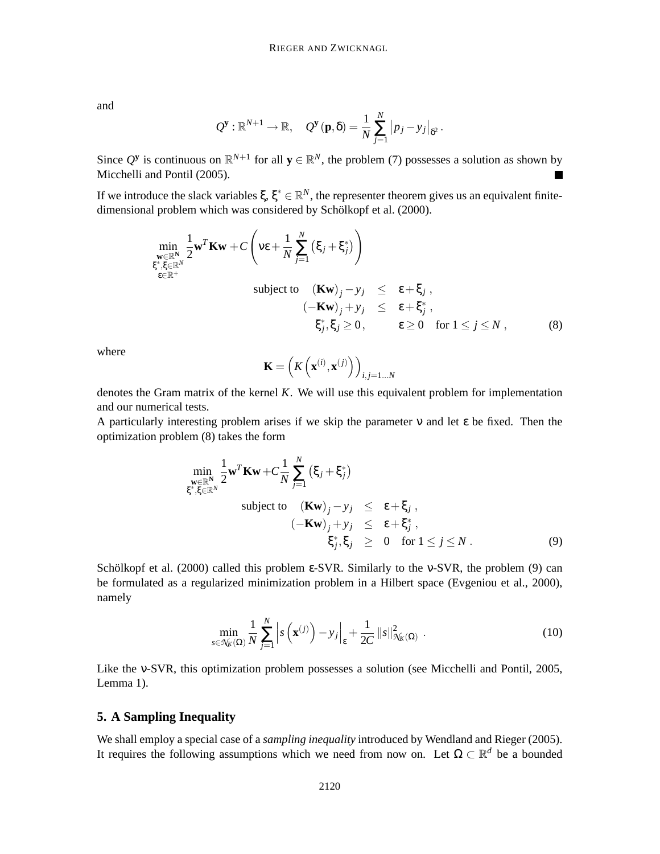and

$$
Q^{\mathbf{y}} : \mathbb{R}^{N+1} \to \mathbb{R}, \quad Q^{\mathbf{y}}(\mathbf{p}, \delta) = \frac{1}{N} \sum_{j=1}^{N} |p_j - y_j|_{\delta^2}.
$$

Since  $Q^y$  is continuous on  $\mathbb{R}^{N+1}$  for all  $y \in \mathbb{R}^N$ , the problem (7) possesses a solution as shown by Micchelli and Pontil (2005).

If we introduce the slack variables  $\xi, \xi^* \in \mathbb{R}^N$ , the representer theorem gives us an equivalent finitedimensional problem which was considered by Schölkopf et al. (2000).

$$
\min_{\substack{\mathbf{w} \in \mathbb{R}^N \\ \xi^*, \xi \in \mathbb{R}^N \\ \epsilon \in \mathbb{R}^+}} \frac{1}{2} \mathbf{w}^T \mathbf{K} \mathbf{w} + C \left( \mathbf{v} \epsilon + \frac{1}{N} \sum_{j=1}^N \left( \xi_j + \xi_j^* \right) \right)
$$
\nsubject to\n
$$
\left( \mathbf{K} \mathbf{w} \right)_j - y_j \leq \epsilon + \xi_j ,
$$
\n
$$
\left( -\mathbf{K} \mathbf{w} \right)_j + y_j \leq \epsilon + \xi_j^* ,
$$
\n
$$
\xi_j^*, \xi_j \geq 0, \qquad \epsilon \geq 0 \quad \text{for } 1 \leq j \leq N ,
$$
\n(8)

where

$$
\mathbf{K} = \left( K\left(\mathbf{x}^{(i)}, \mathbf{x}^{(j)}\right) \right)_{i,j=1...N}
$$

denotes the Gram matrix of the kernel *K*. We will use this equivalent problem for implementation and our numerical tests.

A particularly interesting problem arises if we skip the parameter  $\nu$  and let  $\varepsilon$  be fixed. Then the optimization problem (8) takes the form

$$
\min_{\substack{\mathbf{w} \in \mathbb{R}^N \\ \xi^*, \xi \in \mathbb{R}^N}} \frac{1}{2} \mathbf{w}^T \mathbf{K} \mathbf{w} + C \frac{1}{N} \sum_{j=1}^N \left( \xi_j + \xi_j^* \right)
$$
\nsubject to\n
$$
\left( \mathbf{K} \mathbf{w} \right)_j - y_j \leq \varepsilon + \xi_j,
$$
\n
$$
\left( -\mathbf{K} \mathbf{w} \right)_j + y_j \leq \varepsilon + \xi_j^*,
$$
\n
$$
\xi_j^*, \xi_j \geq 0 \quad \text{for } 1 \leq j \leq N.
$$
\n(9)

Schölkopf et al. (2000) called this problem ε-SVR. Similarly to the ν-SVR, the problem (9) can be formulated as a regularized minimization problem in a Hilbert space (Evgeniou et al., 2000), namely

$$
\min_{s \in \mathcal{N}_{K}(\Omega)} \frac{1}{N} \sum_{j=1}^{N} \left| s\left(\mathbf{x}^{(j)}\right) - y_{j} \right|_{\varepsilon} + \frac{1}{2C} \left\| s \right\|_{\mathcal{N}_{K}(\Omega)}^{2}.
$$
\n(10)

Like the ν-SVR, this optimization problem possesses a solution (see Micchelli and Pontil, 2005, Lemma 1).

## **5. A Sampling Inequality**

We shall employ a special case of a *sampling inequality* introduced by Wendland and Rieger (2005). It requires the following assumptions which we need from now on. Let  $\Omega \subset \mathbb{R}^d$  be a bounded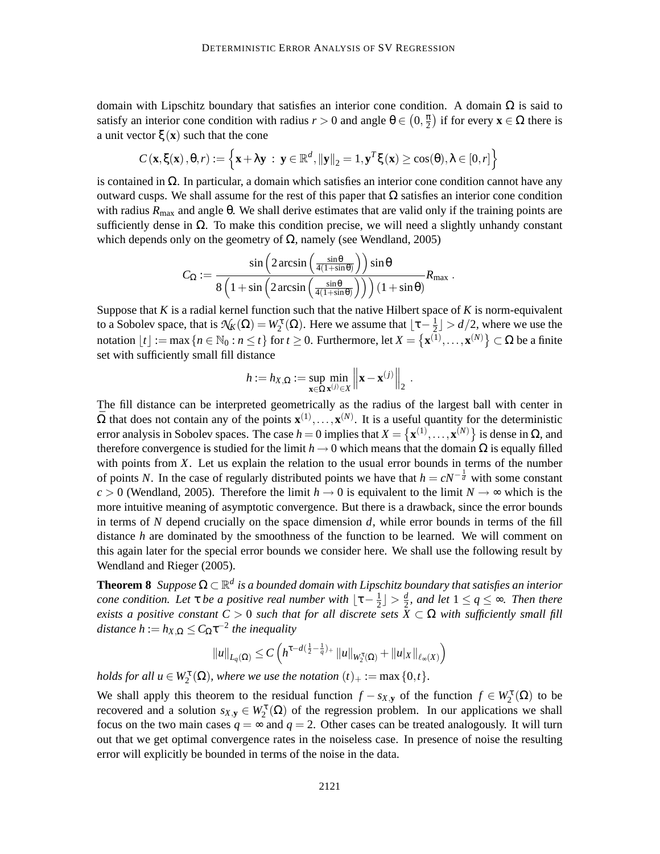domain with Lipschitz boundary that satisfies an interior cone condition. A domain  $\Omega$  is said to satisfy an interior cone condition with radius  $r > 0$  and angle  $\theta \in (0, \frac{\pi}{2})$  $\left(\frac{\pi}{2}\right)$  if for every **x**  $\in \Omega$  there is a unit vector ξ(**x**) such that the cone

$$
C(\mathbf{x}, \xi(\mathbf{x}), \theta, r) := \left\{ \mathbf{x} + \lambda \mathbf{y} \; : \; \mathbf{y} \in \mathbb{R}^d, ||\mathbf{y}||_2 = 1, \mathbf{y}^T \xi(\mathbf{x}) \ge \cos(\theta), \lambda \in [0, r] \right\}
$$

is contained in  $\Omega$ . In particular, a domain which satisfies an interior cone condition cannot have any outward cusps. We shall assume for the rest of this paper that  $\Omega$  satisfies an interior cone condition with radius  $R_{\text{max}}$  and angle  $\theta$ . We shall derive estimates that are valid only if the training points are sufficiently dense in  $\Omega$ . To make this condition precise, we will need a slightly unhandy constant which depends only on the geometry of  $\Omega$ , namely (see Wendland, 2005)

$$
C_\Omega:=\frac{\sin\left(2\arcsin\left(\frac{\sin\theta}{4(1+\sin\theta)}\right)\right)\sin\theta}{8\left(1+\sin\left(2\arcsin\left(\frac{\sin\theta}{4(1+\sin\theta)}\right)\right)\right)(1+\sin\theta)}R_{\text{max}}\;.
$$

Suppose that  $K$  is a radial kernel function such that the native Hilbert space of  $K$  is norm-equivalent to a Sobolev space, that is  $\mathcal{N}_K(\Omega) = W_2^{\tau}(\Omega)$ . Here we assume that  $\lfloor \tau - \frac{1}{2} \rfloor > d/2$ , where we use the notation  $\lfloor t \rfloor := \max \{ n \in \mathbb{N}_0 : n \le t \}$  for  $t \ge 0$ . Furthermore, let  $X = \{ \mathbf{x}^{(1)}, \dots, \mathbf{x}^{(N)} \} \subset \Omega$  be a finite set with sufficiently small fill distance

$$
h := h_{X,\Omega} := \sup_{\mathbf{x} \in \Omega} \min_{\mathbf{x}^{(j)} \in X} \left\| \mathbf{x} - \mathbf{x}^{(j)} \right\|_2.
$$

The fill distance can be interpreted geometrically as the radius of the largest ball with center in  $\bar{\Omega}$  that does not contain any of the points  $\mathbf{x}^{(1)},...,\mathbf{x}^{(N)}$ . It is a useful quantity for the deterministic error analysis in Sobolev spaces. The case  $h = 0$  implies that  $X = \{x^{(1)}, \ldots, x^{(N)}\}$  is dense in  $\Omega$ , and therefore convergence is studied for the limit  $h \to 0$  which means that the domain  $\Omega$  is equally filled with points from *X*. Let us explain the relation to the usual error bounds in terms of the number of points *N*. In the case of regularly distributed points we have that  $h = cN^{-\frac{1}{d}}$  with some constant  $c > 0$  (Wendland, 2005). Therefore the limit  $h \to 0$  is equivalent to the limit  $N \to \infty$  which is the more intuitive meaning of asymptotic convergence. But there is a drawback, since the error bounds in terms of *N* depend crucially on the space dimension *d*, while error bounds in terms of the fill distance *h* are dominated by the smoothness of the function to be learned. We will comment on this again later for the special error bounds we consider here. We shall use the following result by Wendland and Rieger (2005).

**Theorem 8** *Suppose* <sup>Ω</sup> <sup>⊂</sup> <sup>R</sup> *d is a bounded domain with Lipschitz boundary that satisfies an interior cone condition. Let*  $\tau$  *be a positive real number with*  $\lfloor \tau - \frac{1}{2} \rfloor$  $\frac{1}{2}$ ) >  $\frac{d}{2}$  $\frac{d}{2}$ , and let  $1 \leq q \leq \infty$ . Then there *exists a positive constant*  $C > 0$  *such that for all discrete sets*  $\overline{X} \subset \Omega$  *with sufficiently small fill*  $distance h := h_{X,\Omega} \leq C_{\Omega} \tau^{-2}$  the inequality

$$
||u||_{L_q(\Omega)} \leq C \left( h^{\tau - d(\frac{1}{2} - \frac{1}{q})_+} ||u||_{W_2^{\tau}(\Omega)} + ||u||_{X} ||_{\ell_\infty(X)} \right)
$$

*holds for all*  $u \in W_2^{\tau}(\Omega)$ *, where we use the notation*  $(t)_+ := \max\{0,t\}$ *.* 

We shall apply this theorem to the residual function  $f - s_{X,\mathbf{y}}$  of the function  $f \in W_2^{\tau}(\Omega)$  to be recovered and a solution  $s_{X,y} \in W_2^{\tau}(\Omega)$  of the regression problem. In our applications we shall focus on the two main cases  $q = \infty$  and  $q = 2$ . Other cases can be treated analogously. It will turn out that we get optimal convergence rates in the noiseless case. In presence of noise the resulting error will explicitly be bounded in terms of the noise in the data.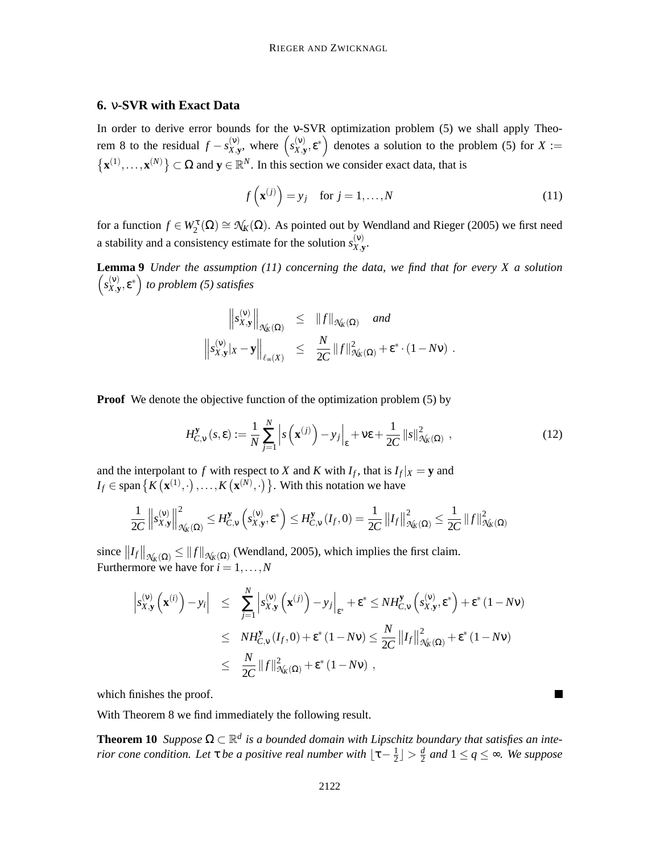# **6.** ν**-SVR with Exact Data**

In order to derive error bounds for the ν-SVR optimization problem (5) we shall apply Theorem 8 to the residual  $f - s_{X,y}^{(v)}$  $\begin{cases} (v) \\ x, y \end{cases}$ , where  $\begin{cases} s_{X,y}^{(v)} \end{cases}$  $\left(\begin{matrix} (v) \\ X,y \end{matrix}\right)$  denotes a solution to the problem (5) for  $X :=$  $\{ \mathbf{x}^{(1)}, \dots, \mathbf{x}^{(N)} \} \subset \Omega$  and  $\mathbf{y} \in \mathbb{R}^N$ . In this section we consider exact data, that is

$$
f\left(\mathbf{x}^{(j)}\right) = y_j \quad \text{for } j = 1, \dots, N
$$
\n(11)

for a function  $f \in W_2^{\tau}(\Omega) \cong \mathcal{N}_K(\Omega)$ . As pointed out by Wendland and Rieger (2005) we first need a stability and a consistency estimate for the solution  $s_{X,Y}^{(v)}$ *X*,**y** .

**Lemma 9** *Under the assumption (11) concerning the data, we find that for every X a solution*  $\left(s_Y^{(v)}\right)$  $\left(\begin{matrix} (v) \ X, y \end{matrix}\right)$  to problem (5) satisfies

$$
\left\|s_{X,\mathbf{y}}^{(\mathbf{v})}\right\|_{\mathcal{N}_{K}(\Omega)} \leq \|f\|_{\mathcal{N}_{K}(\Omega)} \text{ and}
$$
  

$$
\left\|s_{X,\mathbf{y}}^{(\mathbf{v})}|x-\mathbf{y}\right\|_{\ell_{\infty}(X)} \leq \frac{N}{2C} \|f\|_{\mathcal{N}_{K}(\Omega)}^{2} + \varepsilon^{*} \cdot (1-N\mathbf{v}) .
$$

**Proof** We denote the objective function of the optimization problem (5) by

$$
H_{C,\mathbf{v}}^{\mathbf{y}}\left(s,\varepsilon\right) := \frac{1}{N} \sum_{j=1}^{N} \left| s\left(\mathbf{x}^{(j)}\right) - y_j \right|_{\varepsilon} + \mathbf{v}\varepsilon + \frac{1}{2C} \left\| s \right\|_{\mathcal{N}_{K}\left(\Omega\right)}^{2},\tag{12}
$$

and the interpolant to *f* with respect to *X* and *K* with  $I_f$ , that is  $I_f|x = y$  and  $I_f \in \text{span} \left\{ K \left( \mathbf{x}^{(1)}, \cdot \right), \dots, K \left( \mathbf{x}^{(N)}, \cdot \right) \right\}$ . With this notation we have

$$
\frac{1}{2C}\left\|s_{X,\mathbf{y}}^{(\mathbf{v})}\right\|_{\mathcal{N}_{K}(\Omega)}^{2} \leq H_{C,\mathbf{v}}^{\mathbf{y}}\left(s_{X,\mathbf{y}}^{(\mathbf{v})},\varepsilon^{*}\right) \leq H_{C,\mathbf{v}}^{\mathbf{y}}\left(I_{f},0\right) = \frac{1}{2C}\left\|I_{f}\right\|_{\mathcal{N}_{K}(\Omega)}^{2} \leq \frac{1}{2C}\left\|f\right\|_{\mathcal{N}_{K}(\Omega)}^{2}
$$

since  $||I_f||_{\mathcal{N}_k(\Omega)} \le ||f||_{\mathcal{N}_k(\Omega)}$  (Wendland, 2005), which implies the first claim. Furthermore we have for  $i = 1, ..., N$ 

$$
\begin{array}{lcl} \left| s_{X,\mathbf{y}}^{(\nu)}\left(\mathbf{x}^{(i)}\right)-y_i \right| & \leq & \sum\limits_{j=1}^N \left| s_{X,\mathbf{y}}^{(\nu)}\left(\mathbf{x}^{(j)}\right)-y_j \right|_{\varepsilon^*} + \varepsilon^* \leq NH_{C,\nu}^{\mathbf{y}}\left(s_{X,\mathbf{y}}^{(\nu)},\varepsilon^*\right) + \varepsilon^*(1-N\nu) \\ \\ & \leq & NH_{C,\nu}^{\mathbf{y}}\left(I_f,0\right) + \varepsilon^*(1-N\nu) \leq \frac{N}{2C} \left\|I_f\right\|_{\mathcal{N}_K(\Omega)}^2 + \varepsilon^*(1-N\nu) \\ \\ & \leq & \frac{N}{2C} \left\|f\right\|_{\mathcal{N}_K(\Omega)}^2 + \varepsilon^*(1-N\nu) \end{array}
$$

which finishes the proof.

With Theorem 8 we find immediately the following result.

**Theorem 10** *Suppose*  $\Omega \subset \mathbb{R}^d$  *is a bounded domain with Lipschitz boundary that satisfies an interior cone condition. Let*  $\tau$  *be a positive real number with*  $\lfloor \tau - \frac{1}{2} \rfloor$  $\frac{1}{2}$ ) >  $\frac{d}{2}$  $\frac{d}{2}$  and  $1 \leq q \leq \infty$ . We suppose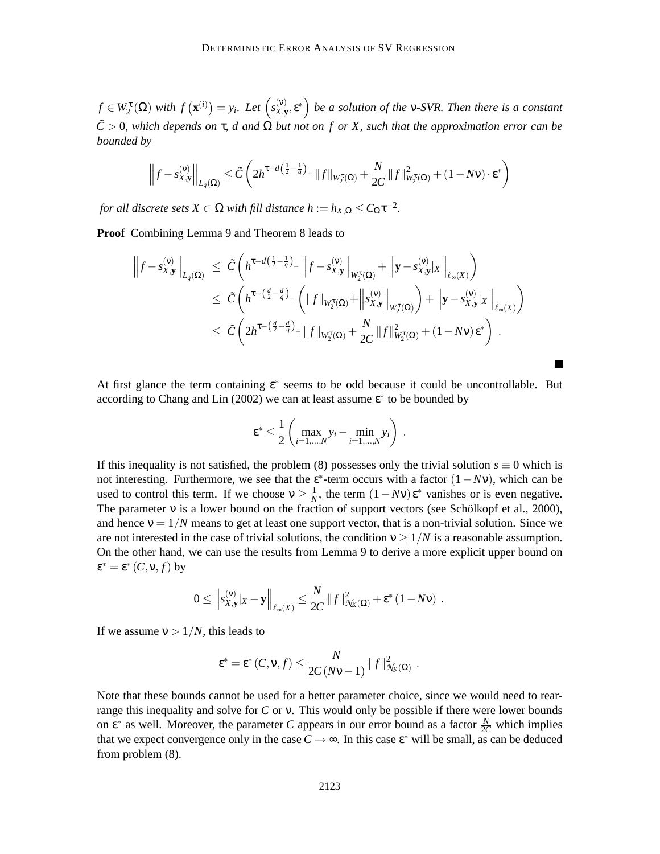$f \in W_2^{\tau}(\Omega)$  *with*  $f(\mathbf{x}^{(i)}) = y_i$ *. Let*  $(s_{X,y}^{(v)})$  $\left(\begin{matrix} (v)\ X,\mathbf{y},\mathbf{\epsilon}^* \end{matrix}\right)$  be a solution of the **v**-SVR. Then there is a constant  $\tilde{C}$  > 0*, which depends on*  $\tau$ *, d and*  $\Omega$  *but not on f or X, such that the approximation error can be bounded by*

$$
\left\|f - s_{X,\mathbf{y}}^{(\mathbf{v})}\right\|_{L_q(\Omega)} \le \tilde{C} \left(2h^{\tau-d\left(\frac{1}{2}-\frac{1}{q}\right)} + \|f\|_{W_2^{\tau}(\Omega)} + \frac{N}{2C} \|f\|_{W_2^{\tau}(\Omega)}^2 + (1-N\mathbf{v}) \cdot \mathbf{\varepsilon}^*\right)
$$

*for all discrete sets*  $X \subset \Omega$  *with fill distance*  $h := h_{X,\Omega} \leq C_{\Omega} \tau^{-2}$ *.* 

**Proof** Combining Lemma 9 and Theorem 8 leads to

$$
\begin{split} \left\|f - s_{X,\mathbf{y}}^{(\mathbf{v})}\right\|_{L_{q}(\Omega)} & \leq \tilde{C} \left( h^{\tau - d\left(\frac{1}{2} - \frac{1}{q}\right)} + \left\|f - s_{X,\mathbf{y}}^{(\mathbf{v})}\right\|_{W_{2}^{\tau}(\Omega)} + \left\|\mathbf{y} - s_{X,\mathbf{y}}^{(\mathbf{v})}|_{X}\right\|_{\ell_{\infty}(X)} \right) \\ & \leq \tilde{C} \left( h^{\tau - \left(\frac{d}{2} - \frac{d}{q}\right)} + \left( \|f\|_{W_{2}^{\tau}(\Omega)} + \left\|s_{X,\mathbf{y}}^{(\mathbf{v})}\right\|_{W_{2}^{\tau}(\Omega)} \right) + \left\|\mathbf{y} - s_{X,\mathbf{y}}^{(\mathbf{v})}|_{X}\right\|_{\ell_{\infty}(X)} \right) \\ & \leq \tilde{C} \left( 2h^{\tau - \left(\frac{d}{2} - \frac{d}{q}\right)} + \|f\|_{W_{2}^{\tau}(\Omega)} + \frac{N}{2C} \|f\|_{W_{2}^{\tau}(\Omega)}^{2} + (1 - N\mathbf{v})\epsilon^{*} \right) \, . \end{split}
$$

At first glance the term containing  $\varepsilon^*$  seems to be odd because it could be uncontrollable. But according to Chang and Lin (2002) we can at least assume  $\epsilon^*$  to be bounded by

$$
\varepsilon^* \leq \frac{1}{2} \left( \max_{i=1,\dots,N} y_i - \min_{i=1,\dots,N} y_i \right) .
$$

If this inequality is not satisfied, the problem (8) possesses only the trivial solution  $s \equiv 0$  which is not interesting. Furthermore, we see that the  $\varepsilon^*$ -term occurs with a factor  $(1 - Nv)$ , which can be used to control this term. If we choose  $v \geq \frac{1}{N}$  $\frac{1}{N}$ , the term  $(1 - Nv) \varepsilon^*$  vanishes or is even negative. The parameter ν is a lower bound on the fraction of support vectors (see Schölkopf et al., 2000), and hence  $v = 1/N$  means to get at least one support vector, that is a non-trivial solution. Since we are not interested in the case of trivial solutions, the condition  $v \ge 1/N$  is a reasonable assumption. On the other hand, we can use the results from Lemma 9 to derive a more explicit upper bound on  $\epsilon^* = \epsilon^*$  (*C*, **v**, *f*) by

$$
0 \leq \left\|s_{X,\mathbf{y}}^{(\mathbf{v})}|x-\mathbf{y}\right\|_{\ell_{\infty}(X)} \leq \frac{N}{2C} \left\|f\right\|_{\mathcal{N}_{K}(\Omega)}^{2} + \varepsilon^{*} \left(1-N\nu\right) .
$$

If we assume  $v > 1/N$ , this leads to

$$
\varepsilon^* = \varepsilon^* (C, v, f) \leq \frac{N}{2C(Nv-1)} ||f||^2_{\mathcal{H}_K(\Omega)}.
$$

Note that these bounds cannot be used for a better parameter choice, since we would need to rearrange this inequality and solve for *C* or ν. This would only be possible if there were lower bounds on  $\varepsilon^*$  as well. Moreover, the parameter *C* appears in our error bound as a factor  $\frac{N}{2C}$  which implies that we expect convergence only in the case  $C \rightarrow \infty$ . In this case  $\epsilon^*$  will be small, as can be deduced from problem (8).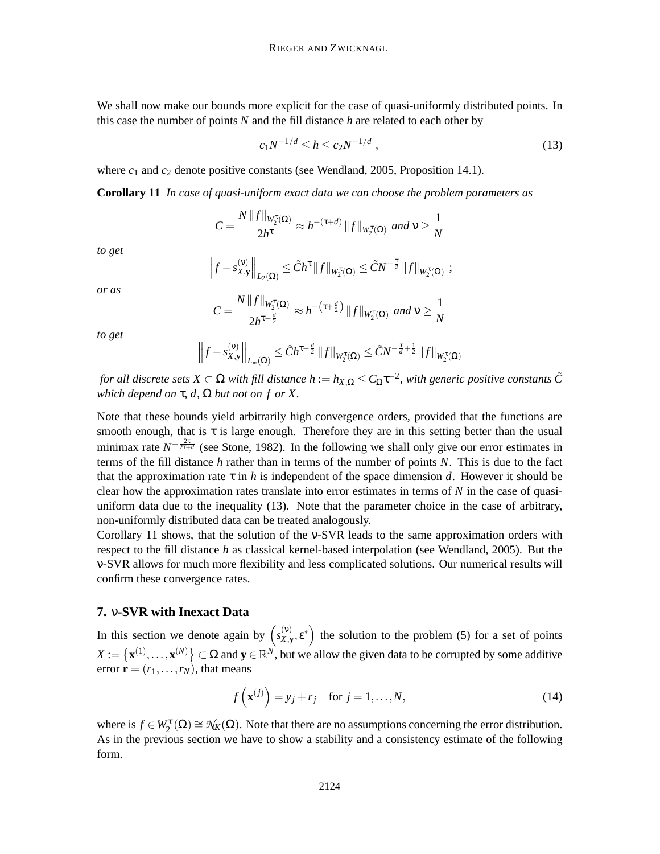We shall now make our bounds more explicit for the case of quasi-uniformly distributed points. In this case the number of points *N* and the fill distance *h* are related to each other by

$$
c_1 N^{-1/d} \le h \le c_2 N^{-1/d} \tag{13}
$$

where  $c_1$  and  $c_2$  denote positive constants (see Wendland, 2005, Proposition 14.1).

**Corollary 11** *In case of quasi-uniform exact data we can choose the problem parameters as*

$$
C = \frac{N ||f||_{W_2^{\tau}(\Omega)}}{2h^{\tau}} \approx h^{-(\tau+d)} ||f||_{W_2^{\tau}(\Omega)} \text{ and } \nu \ge \frac{1}{N}
$$

*to get*

$$
\left\|f - s_{X,\mathbf{y}}^{(\mathbf{v})}\right\|_{L_2(\Omega)} \leq \tilde{C}h^{\tau} \|f\|_{W_2^{\tau}(\Omega)} \leq \tilde{C}N^{-\frac{\tau}{d}} \|f\|_{W_2^{\tau}(\Omega)} ;
$$

*or as*

$$
C = \frac{N \|f\|_{W_2^{\tau}(\Omega)}}{2h^{\tau-\frac{d}{2}}} \approx h^{-(\tau+\frac{d}{2})} \|f\|_{W_2^{\tau}(\Omega)} \text{ and } \nu \ge \frac{1}{N}
$$

*to get*

$$
\left\|f - s_{X,\mathbf{y}}^{(\mathbf{v})}\right\|_{L_{\infty}(\Omega)} \leq \tilde{C}h^{\tau-\frac{d}{2}}\|f\|_{W_2^{\tau}(\Omega)} \leq \tilde{C}N^{-\frac{\tau}{d}+\frac{1}{2}}\|f\|_{W_2^{\tau}(\Omega)}
$$

*for all discrete sets*  $X\subset \Omega$  *with fill distance*  $h:=h_{X,\Omega}\leq C_\Omega\tau^{-2}$ *, with generic positive constants*  $\tilde{C}$ *which depend on*  $\tau$ *, d,*  $\Omega$  *but not on f or* X.

Note that these bounds yield arbitrarily high convergence orders, provided that the functions are smooth enough, that is  $\tau$  is large enough. Therefore they are in this setting better than the usual minimax rate  $N^{-\frac{2\tau}{2\tau+d}}$  (see Stone, 1982). In the following we shall only give our error estimates in terms of the fill distance *h* rather than in terms of the number of points *N*. This is due to the fact that the approximation rate  $\tau$  in *h* is independent of the space dimension *d*. However it should be clear how the approximation rates translate into error estimates in terms of *N* in the case of quasiuniform data due to the inequality (13). Note that the parameter choice in the case of arbitrary, non-uniformly distributed data can be treated analogously.

Corollary 11 shows, that the solution of the ν-SVR leads to the same approximation orders with respect to the fill distance *h* as classical kernel-based interpolation (see Wendland, 2005). But the ν-SVR allows for much more flexibility and less complicated solutions. Our numerical results will confirm these convergence rates.

#### **7.** ν**-SVR with Inexact Data**

In this section we denote again by  $\left(s_{X}^{(v)}\right)$  $\mathbf{x}(\mathbf{y})$  the solution to the problem (5) for a set of points  $X := \{ \mathbf{x}^{(1)}, \dots, \mathbf{x}^{(N)} \} \subset \Omega$  and  $\mathbf{y} \in \mathbb{R}^N$ , but we allow the given data to be corrupted by some additive error  $\mathbf{r} = (r_1, \ldots, r_N)$ , that means

$$
f\left(\mathbf{x}^{(j)}\right) = y_j + r_j \quad \text{for } j = 1, \dots, N,
$$
\n(14)

where is  $f \in W_2^{\tau}(\Omega) \cong \mathcal{N}_K(\Omega)$ . Note that there are no assumptions concerning the error distribution. As in the previous section we have to show a stability and a consistency estimate of the following form.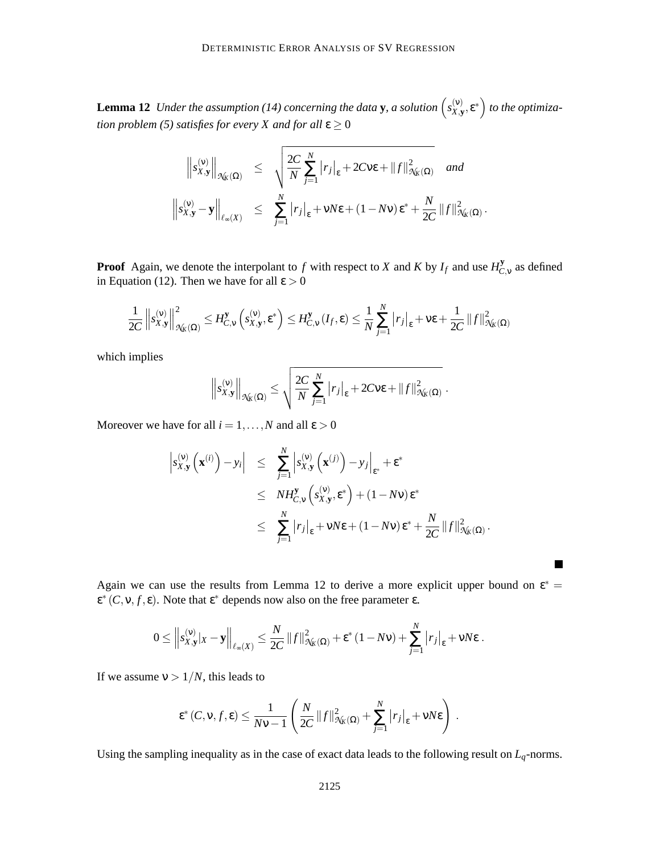**Lemma 12** *Under the assumption* (14) concerning the data **y**, a solution  $\begin{pmatrix} s_{X,Y}^{(v)} \end{pmatrix}$  $\left(\begin{matrix} \n\mathbf{x}, \mathbf{y}, \mathbf{g}^* \\
\mathbf{y}, \mathbf{y}, \mathbf{g}^* \n\end{matrix}\right)$  to the optimiza*tion problem (5) satisfies for every X and for all*  $\varepsilon \geq 0$ 

$$
\left\|s_{X,\mathbf{y}}^{(\mathbf{v})}\right\|_{\mathcal{N}_{K}(\Omega)} \leq \sqrt{\frac{2C}{N} \sum_{j=1}^{N} |r_{j}|_{\varepsilon} + 2Cv\varepsilon + \|f\|_{\mathcal{N}_{K}(\Omega)}^{2}} \quad \text{and}
$$

$$
\left\|s_{X,\mathbf{y}}^{(\mathbf{v})} - \mathbf{y}\right\|_{\ell_{\infty}(X)} \leq \sum_{j=1}^{N} |r_{j}|_{\varepsilon} + vN\varepsilon + (1 - Nv)\varepsilon^{*} + \frac{N}{2C} \|f\|_{\mathcal{N}_{K}(\Omega)}^{2}.
$$

**Proof** Again, we denote the interpolant to *f* with respect to *X* and *K* by  $I_f$  and use  $H_C^{\mathbf{y}}$  $C_{,V}^{y}$  as defined in Equation (12). Then we have for all  $\varepsilon > 0$ 

$$
\frac{1}{2C} \left\|s_{X,\mathbf{y}}^{(\mathbf{v})}\right\|_{\mathcal{N}_{K}(\Omega)}^{2} \leq H_{C,\mathbf{v}}^{\mathbf{y}}\left(s_{X,\mathbf{y}}^{(\mathbf{v})},\varepsilon^{*}\right) \leq H_{C,\mathbf{v}}^{\mathbf{y}}\left(I_{f},\varepsilon\right) \leq \frac{1}{N} \sum_{j=1}^{N} \left|r_{j}\right|_{\varepsilon} + \nu \varepsilon + \frac{1}{2C} \left\|f\right\|_{\mathcal{N}_{K}(\Omega)}^{2}
$$

which implies

$$
\left\|s_{X,\mathbf{y}}^{(\mathbf{v})}\right\|_{\mathcal{N}_{K}(\Omega)} \leq \sqrt{\frac{2C}{N} \sum_{j=1}^{N} |r_{j}|_{\varepsilon} + 2C\mathsf{v}\varepsilon + \|f\|_{\mathcal{N}_{K}(\Omega)}^{2}}.
$$

Moreover we have for all  $i = 1, ..., N$  and all  $\varepsilon > 0$ 

$$
\begin{array}{lcl} \left| s_{X,\mathbf{y}}^{(\mathbf{v})} \left( \mathbf{x}^{(i)} \right) - y_i \right| & \leq & \sum\limits_{j=1}^N \left| s_{X,\mathbf{y}}^{(\mathbf{v})} \left( \mathbf{x}^{(j)} \right) - y_j \right|_{\varepsilon^*} + \varepsilon^* \\ & \leq & NH_{C,\mathbf{v}}^{\mathbf{y}} \left( s_{X,\mathbf{y}}^{(\mathbf{v})}, \varepsilon^* \right) + (1 - N \mathbf{v}) \varepsilon^* \\ & \leq & \sum\limits_{j=1}^N \left| r_j \right|_{\varepsilon} + \mathbf{v} N \varepsilon + (1 - N \mathbf{v}) \varepsilon^* + \frac{N}{2C} \left\| f \right\|_{\mathcal{H}_K(\Omega)}^2. \end{array}
$$

Again we can use the results from Lemma 12 to derive a more explicit upper bound on  $\varepsilon^*$  =  $\epsilon^*(C, v, f, \epsilon)$ . Note that  $\epsilon^*$  depends now also on the free parameter  $\epsilon$ .

**In the Second** 

$$
0 \leq \left\|s_{X,\mathbf{y}}^{(\mathbf{v})}|x-\mathbf{y}\right\|_{\ell_{\infty}(X)} \leq \frac{N}{2C} \left\|f\right\|_{\mathcal{N}_{K}(\Omega)}^{2} + \varepsilon^{*} \left(1-N\nu\right) + \sum_{j=1}^{N} \left|r_{j}\right|_{\varepsilon} + \nu N\varepsilon.
$$

If we assume  $v > 1/N$ , this leads to

$$
\varepsilon^*(C, \mathsf{v}, f, \varepsilon) \leq \frac{1}{N\mathsf{v}-1} \left( \frac{N}{2C} ||f||^2_{\mathcal{H}_K(\Omega)} + \sum_{j=1}^N |r_j|_{\varepsilon} + \mathsf{v}N\varepsilon \right) .
$$

Using the sampling inequality as in the case of exact data leads to the following result on  $L_q$ -norms.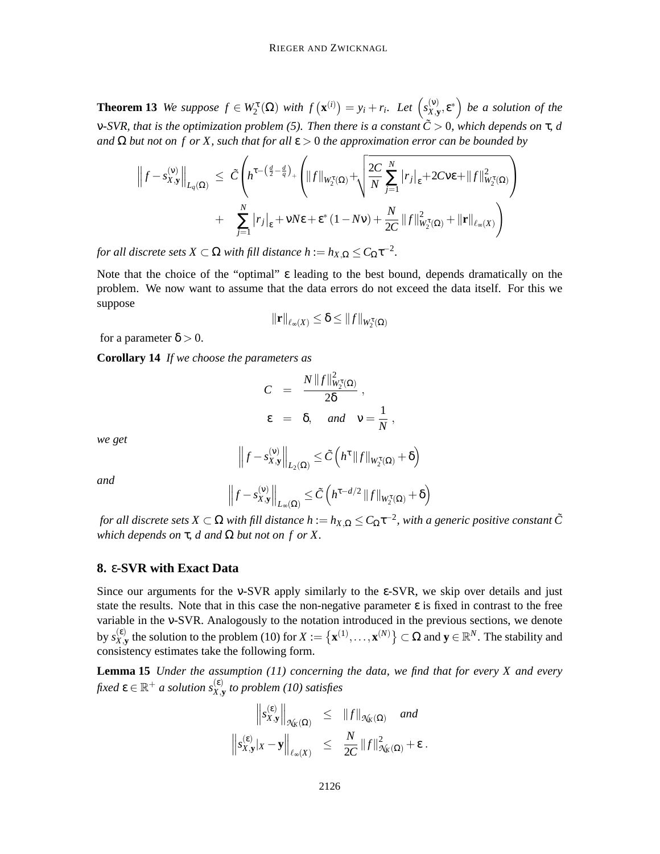**Theorem 13** *We suppose*  $f \in W_2^{\tau}(\Omega)$  *with*  $f(\mathbf{x}^{(i)}) = y_i + r_i$ *. Let*  $(s_{X,y}^{(v)})$  $\left(\begin{matrix} (v) \\ X, y \end{matrix}\right)$  *be a solution of the* ν*-SVR, that is the optimization problem (5). Then there is a constant C*˜ > 0*, which depends on* τ*, d and*  $\Omega$  *but not on f or X, such that for all*  $\varepsilon > 0$  *the approximation error can be bounded by* 

$$
\left\|f - s_{X,\mathbf{y}}^{(v)}\right\|_{L_q(\Omega)} \leq \tilde{C} \left( h^{\tau - \left(\frac{d}{2} - \frac{d}{q}\right)_+} \left( \|f\|_{W_2^{\tau}(\Omega)} + \sqrt{\frac{2C}{N} \sum_{j=1}^N |r_j|_{\varepsilon} + 2Cv\varepsilon + \|f\|_{W_2^{\tau}(\Omega)}^2} \right) + \sum_{j=1}^N |r_j|_{\varepsilon} + vN\varepsilon + \varepsilon^* (1 - Nv) + \frac{N}{2C} \|f\|_{W_2^{\tau}(\Omega)}^2 + \| \mathbf{r} \|_{\ell_\infty(X)} \right)
$$

*for all discrete sets*  $X \subset \Omega$  *with fill distance h* :=  $h_{X,\Omega} \leq C_{\Omega} \tau^{-2}$ .

Note that the choice of the "optimal" ε leading to the best bound, depends dramatically on the problem. We now want to assume that the data errors do not exceed the data itself. For this we suppose

$$
\|\mathbf{r}\|_{\ell_\infty(X)} \leq \delta \leq \|f\|_{W_2^{\tau}(\Omega)}
$$

for a parameter  $\delta > 0$ .

**Corollary 14** *If we choose the parameters as*

$$
C = \frac{N||f||_{W_2^{\tau}(\Omega)}^2}{2\delta},
$$
  

$$
\epsilon = \delta, \quad \text{and} \quad v = \frac{1}{N},
$$

*we get*

$$
\left\|f - s_{X,\mathbf{y}}^{(\mathbf{v})}\right\|_{L_2(\Omega)} \leq \tilde{C}\left(h^{\tau} \|f\|_{W_2^{\tau}(\Omega)} + \delta\right)
$$

*and*

$$
\left\|f - s_{X,\mathbf{y}}^{(\mathbf{v})}\right\|_{L_{\infty}(\Omega)} \leq \tilde{C}\left(h^{\tau-d/2} \|f\|_{W_2^{\tau}(\Omega)} + \delta\right)
$$

*for all discrete sets*  $X\subset \Omega$  *with fill distance*  $h:=h_{X,\Omega}\leq C_\Omega\tau^{-2}$ *, with a generic positive constant*  $\tilde C$ *which depends on*  $\tau$ , *d and*  $\Omega$  *but not on f or*  $X$ .

# **8.** ε**-SVR with Exact Data**

Since our arguments for the ν-SVR apply similarly to the ε-SVR, we skip over details and just state the results. Note that in this case the non-negative parameter  $\varepsilon$  is fixed in contrast to the free variable in the ν-SVR. Analogously to the notation introduced in the previous sections, we denote by  $s_{X}^{(\epsilon)}$  $\{x_i, y_k\}$  the solution to the problem (10) for  $X := \{x^{(1)}, \ldots, x^{(N)}\} \subset \Omega$  and  $y \in \mathbb{R}^N$ . The stability and consistency estimates take the following form.

**Lemma 15** *Under the assumption (11) concerning the data, we find that for every X and every* fixed  $\pmb{\varepsilon} \in \mathbb{R}^+$  a solution  $s_{X, \mathbf{y}}^{(\pmb{\varepsilon})}$  to problem (10) satisfies

$$
\left\|s_{X,\mathbf{y}}^{(\varepsilon)}\right\|_{\mathcal{H}_K(\Omega)} \leq \|f\|_{\mathcal{H}_K(\Omega)} \quad \text{and}
$$
  

$$
\left\|s_{X,\mathbf{y}}^{(\varepsilon)}|_{X} - \mathbf{y}\right\|_{\ell_\infty(X)} \leq \frac{N}{2C} \|f\|_{\mathcal{H}_K(\Omega)}^2 + \varepsilon.
$$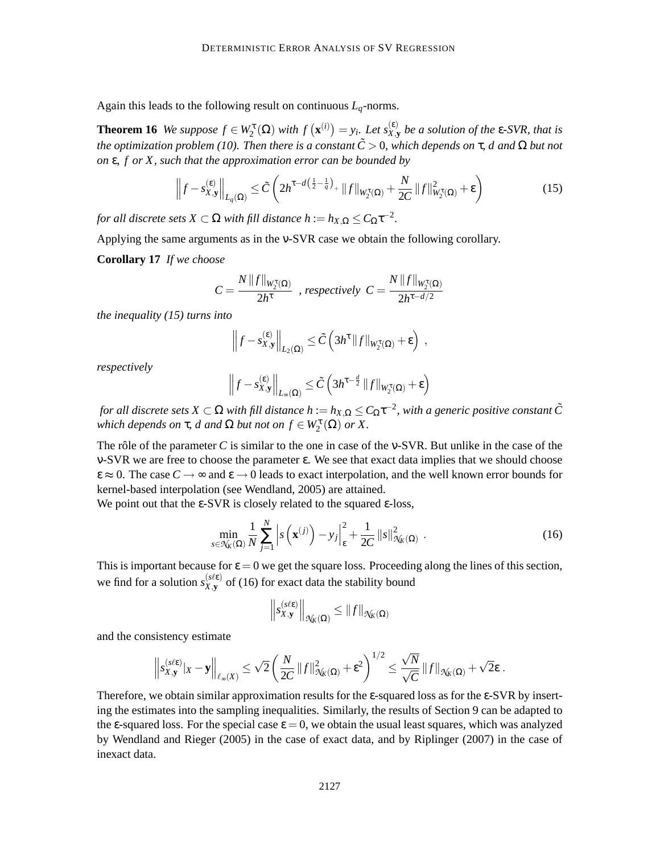Again this leads to the following result on continuous *Lq*-norms.

**Theorem 16** *We suppose*  $f \in W_2^{\tau}(\Omega)$  *with*  $f(\mathbf{x}^{(i)}) = y_i$ . Let  $s_{X,y}^{(\varepsilon)}$  be a solution of the  $\varepsilon$ -SVR, that is *the optimization problem (10). Then there is a constant*  $\tilde{C} > 0$ , which depends on  $\tau$ , d and  $\Omega$  but not *on* ε*, f or X, such that the approximation error can be bounded by*

$$
\left\|f - s_{X,\mathbf{y}}^{(\varepsilon)}\right\|_{L_q(\Omega)} \le \tilde{C} \left(2h^{\tau - d\left(\frac{1}{2} - \frac{1}{q}\right)} + \|f\|_{W_2^{\tau}(\Omega)} + \frac{N}{2C} \|f\|_{W_2^{\tau}(\Omega)}^2 + \varepsilon\right) \tag{15}
$$

*for all discrete sets*  $X \subset \Omega$  *with fill distance h* :=  $h_{X,\Omega} \leq C_{\Omega} \tau^{-2}$ .

Applying the same arguments as in the ν-SVR case we obtain the following corollary.

**Corollary 17** *If we choose*

$$
C = \frac{N||f||_{W_2^{\tau}(\Omega)}}{2h^{\tau}} \text{ , respectively } C = \frac{N||f||_{W_2^{\tau}(\Omega)}}{2h^{\tau-d/2}}
$$

*the inequality (15) turns into*

$$
\left\|f - s_{X,\mathbf{y}}^{(\varepsilon)}\right\|_{L_2(\Omega)} \leq \tilde{C}\left(3h^{\tau}\|f\|_{W_2^{\tau}(\Omega)} + \varepsilon\right) ,
$$

*respectively*

$$
\left\|f - s_{X,\mathbf{y}}^{(\varepsilon)}\right\|_{L_{\infty}(\Omega)} \leq \tilde{C}\left(3h^{\tau-\frac{d}{2}}\|f\|_{W_2^{\tau}(\Omega)} + \varepsilon\right)
$$

*for all discrete sets*  $X\subset \Omega$  *with fill distance*  $h:=h_{X,\Omega}\leq C_\Omega\tau^{-2}$ *, with a generic positive constant*  $\tilde C$ *which depends on*  $\tau$ , *d and*  $\Omega$  *but not on*  $f \in W_2^{\tau}(\Omega)$  *or*  $X$ .

The rôle of the parameter *C* is similar to the one in case of the ν-SVR. But unlike in the case of the ν-SVR we are free to choose the parameter ε. We see that exact data implies that we should choose  $\varepsilon \approx 0$ . The case  $C \rightarrow \infty$  and  $\varepsilon \rightarrow 0$  leads to exact interpolation, and the well known error bounds for kernel-based interpolation (see Wendland, 2005) are attained.

We point out that the  $\epsilon$ -SVR is closely related to the squared  $\epsilon$ -loss,

$$
\min_{s \in \mathcal{N}_k(\Omega)} \frac{1}{N} \sum_{j=1}^N \left| s\left(\mathbf{x}^{(j)}\right) - y_j \right|_{\varepsilon}^2 + \frac{1}{2C} \left\| s \right\|_{\mathcal{N}_k(\Omega)}^2 \,. \tag{16}
$$

This is important because for  $\varepsilon = 0$  we get the square loss. Proceeding along the lines of this section, we find for a solution  $s_{X,\mathbf{v}}^{(s\ell\epsilon)}$  $\chi_{\bf y}^{(\text{see})}$  of (16) for exact data the stability bound

$$
\left\|s_{X,\mathbf{y}}^{(s\ell\varepsilon)}\right\|_{\mathcal{N}_{K}(\Omega)} \leq \|f\|_{\mathcal{N}_{K}(\Omega)}
$$

and the consistency estimate

$$
\left\|s_{X,\mathbf{y}}^{(s\ell\epsilon)}|_X-\mathbf{y}\right\|_{\ell_\infty(X)}\leq \sqrt{2}\left(\frac{N}{2C}\|f\|_{\mathcal{H}_K(\Omega)}^2+\epsilon^2\right)^{1/2}\leq \frac{\sqrt{N}}{\sqrt{C}}\|f\|_{\mathcal{H}_K(\Omega)}+\sqrt{2}\epsilon\;.
$$

Therefore, we obtain similar approximation results for the  $\varepsilon$ -squared loss as for the  $\varepsilon$ -SVR by inserting the estimates into the sampling inequalities. Similarly, the results of Section 9 can be adapted to the  $\epsilon$ -squared loss. For the special case  $\epsilon = 0$ , we obtain the usual least squares, which was analyzed by Wendland and Rieger (2005) in the case of exact data, and by Riplinger (2007) in the case of inexact data.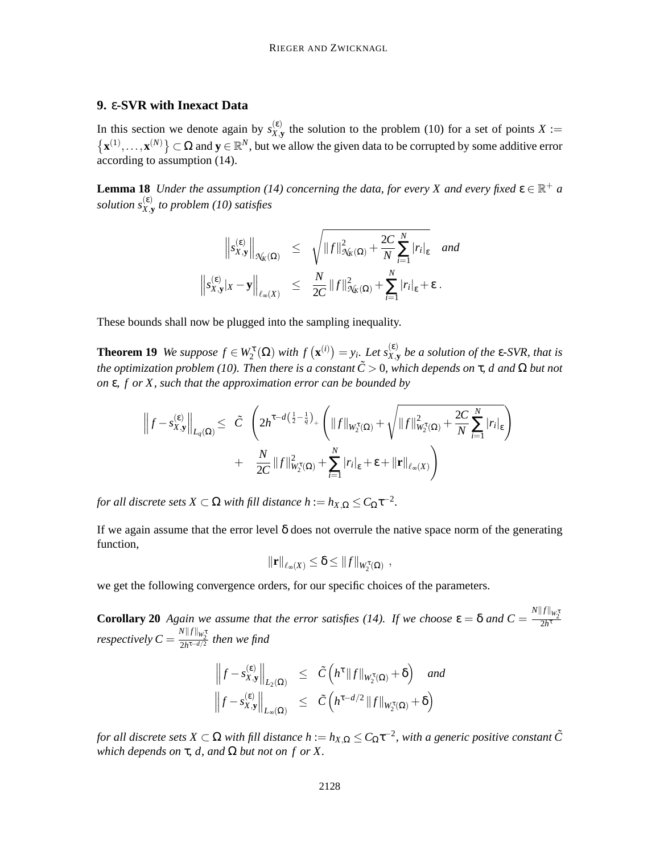# **9.** ε**-SVR with Inexact Data**

In this section we denote again by  $s_{X,Y}^{(\varepsilon)}$  $X_{X,Y}^{(c)}$  the solution to the problem (10) for a set of points  $X :=$  $\{ \mathbf{x}^{(1)}, \dots, \mathbf{x}^{(N)} \} \subset \Omega$  and  $\mathbf{y} \in \mathbb{R}^N$ , but we allow the given data to be corrupted by some additive error according to assumption (14).

**Lemma 18** *Under the assumption* (14) concerning the data, for every X and every fixed  $\epsilon \in \mathbb{R}^+$  *a solution s*(ε) *X*,**y** *to problem (10) satisfies*

$$
\left\|s_{X,\mathbf{y}}^{(\varepsilon)}\right\|_{\mathcal{N}_{K}(\Omega)} \leq \sqrt{\|f\|_{\mathcal{N}_{K}(\Omega)}^{2} + \frac{2C}{N} \sum_{i=1}^{N} |r_{i}|_{\varepsilon}} \quad \text{and}
$$
  

$$
\left\|s_{X,\mathbf{y}}^{(\varepsilon)}|_{X} - \mathbf{y}\right\|_{\ell_{\infty}(X)} \leq \frac{N}{2C} \|f\|_{\mathcal{N}_{K}(\Omega)}^{2} + \sum_{i=1}^{N} |r_{i}|_{\varepsilon} + \varepsilon.
$$

These bounds shall now be plugged into the sampling inequality.

**Theorem 19** *We suppose*  $f \in W_2^{\tau}(\Omega)$  *with*  $f(\mathbf{x}^{(i)}) = y_i$ . Let  $s_{X,y}^{(\varepsilon)}$  be a solution of the  $\varepsilon$ -SVR, that is *the optimization problem (10). Then there is a constant*  $\tilde{C} > 0$ , which depends on τ, d and Ω but not *on* ε*, f or X, such that the approximation error can be bounded by*

$$
\left\|f - s_{X,\mathbf{y}}^{(\epsilon)}\right\|_{L_q(\Omega)} \leq \left|\tilde{C} \left(2h^{\tau-d\left(\frac{1}{2} - \frac{1}{q}\right)_{+}}\left(\|f\|_{W_2^{\tau}(\Omega)} + \sqrt{\|f\|_{W_2^{\tau}(\Omega)}^2 + \frac{2C}{N} \sum_{i=1}^N |r_i|_{\epsilon}}\right) + \frac{N}{2C} \|f\|_{W_2^{\tau}(\Omega)}^2 + \sum_{i=1}^N |r_i|_{\epsilon} + \epsilon + \|\mathbf{r}\|_{\ell_\infty(X)}\right)
$$

*for all discrete sets*  $X \subset \Omega$  *with fill distance h* :=  $h_{X,\Omega} \leq C_{\Omega} \tau^{-2}$ .

If we again assume that the error level  $\delta$  does not overrule the native space norm of the generating function,

$$
\|\mathbf{r}\|_{\ell_\infty(X)} \leq \delta \leq \|f\|_{W_2^{\tau}(\Omega)},
$$

we get the following convergence orders, for our specific choices of the parameters.

**Corollary 20** *Again we assume that the error satisfies (14). If we choose*  $\varepsilon = \delta$  *and*  $C = \frac{N||f||_{W_2^*}}{2h^{\tau}}$ *respectively*  $C = \frac{N||f||_{W_2^{\texttt{t}}}}{2h^{\texttt{t}-d/2}}$  then we find

$$
\left\|f - s_{X,\mathbf{y}}^{(\varepsilon)}\right\|_{L_2(\Omega)} \leq \tilde{C}\left(h^{\tau} \|f\|_{W_2^{\tau}(\Omega)} + \delta\right) \text{ and}
$$
  

$$
\left\|f - s_{X,\mathbf{y}}^{(\varepsilon)}\right\|_{L_{\infty}(\Omega)} \leq \tilde{C}\left(h^{\tau-d/2} \|f\|_{W_2^{\tau}(\Omega)} + \delta\right)
$$

*for all discrete sets*  $X\subset \Omega$  *with fill distance*  $h:=h_{X,\Omega}\leq C_\Omega\tau^{-2}$ *, with a generic positive constant*  $\tilde C$ *which depends on*  $\tau$ *, d, and*  $\Omega$  *but not on f or*  $X$ *.*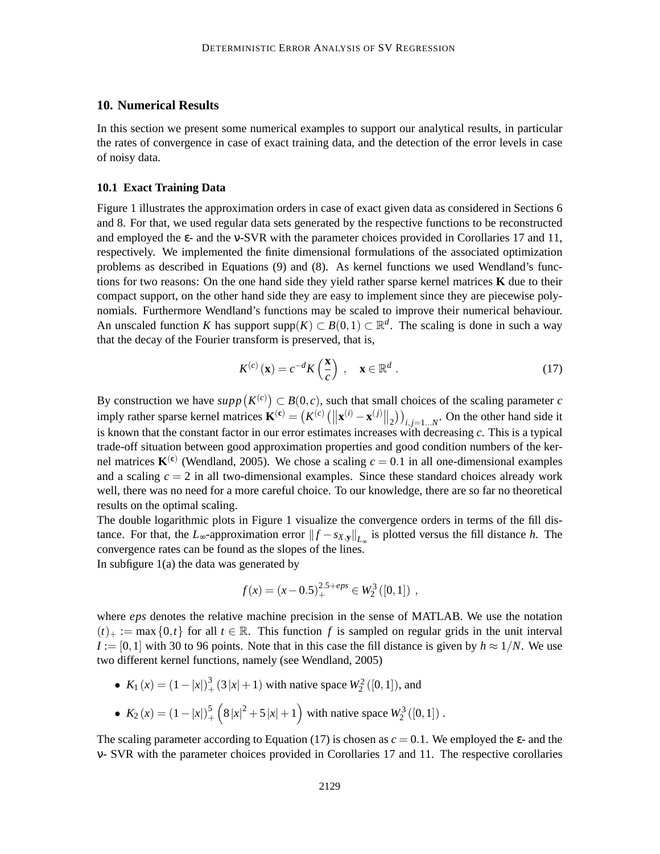### **10. Numerical Results**

In this section we present some numerical examples to support our analytical results, in particular the rates of convergence in case of exact training data, and the detection of the error levels in case of noisy data.

#### **10.1 Exact Training Data**

Figure 1 illustrates the approximation orders in case of exact given data as considered in Sections 6 and 8. For that, we used regular data sets generated by the respective functions to be reconstructed and employed the ε- and the ν-SVR with the parameter choices provided in Corollaries 17 and 11, respectively. We implemented the finite dimensional formulations of the associated optimization problems as described in Equations (9) and (8). As kernel functions we used Wendland's functions for two reasons: On the one hand side they yield rather sparse kernel matrices **K** due to their compact support, on the other hand side they are easy to implement since they are piecewise polynomials. Furthermore Wendland's functions may be scaled to improve their numerical behaviour. An unscaled function *K* has support supp $(K) \subset B(0,1) \subset \mathbb{R}^d$ . The scaling is done in such a way that the decay of the Fourier transform is preserved, that is,

$$
K^{(c)}(\mathbf{x}) = c^{-d} K\left(\frac{\mathbf{x}}{c}\right) , \quad \mathbf{x} \in \mathbb{R}^d .
$$
 (17)

By construction we have  $supp(K^{(c)}) \subset B(0, c)$ , such that small choices of the scaling parameter *c* imply rather sparse kernel matrices  $\mathbf{K}^{(\mathbf{c})} = (K^{(c)} \left( \left\| \mathbf{x}^{(i)} - \mathbf{x}^{(j)} \right\|_2 \right) \right)_{i,j=1...N}$ . On the other hand side it is known that the constant factor in our error estimates increases with decreasing *c*. This is a typical trade-off situation between good approximation properties and good condition numbers of the kernel matrices  $K^{(c)}$  (Wendland, 2005). We chose a scaling  $c = 0.1$  in all one-dimensional examples and a scaling  $c = 2$  in all two-dimensional examples. Since these standard choices already work well, there was no need for a more careful choice. To our knowledge, there are so far no theoretical results on the optimal scaling.

The double logarithmic plots in Figure 1 visualize the convergence orders in terms of the fill distance. For that, the *L*<sub>∞</sub>-approximation error  $||f - s_{X,y}||_{L_{\infty}}$  is plotted versus the fill distance *h*. The convergence rates can be found as the slopes of the lines. In subfigure 1(a) the data was generated by

$$
f(x) = (x - 0.5)^{2.5 + eps} \in W_2^3([0, 1]) ,
$$

where *eps* denotes the relative machine precision in the sense of MATLAB. We use the notation  $(t)_{+} := \max\{0,t\}$  for all  $t \in \mathbb{R}$ . This function f is sampled on regular grids in the unit interval  $I := [0,1]$  with 30 to 96 points. Note that in this case the fill distance is given by  $h \approx 1/N$ . We use

- two different kernel functions, namely (see Wendland, 2005)
	- $K_1(x) = (1-|x|)_+^3$  $\frac{3}{4}$  (3|x|+1) with native space  $W_2^2$  ([0,1]), and
	- $K_2(x) = (1-|x|)_+^5$  $+\frac{5}{2}$  (8|x|<sup>2</sup> + 5|x|+1) with native space  $W_2^3([0,1])$ .

The scaling parameter according to Equation (17) is chosen as  $c = 0.1$ . We employed the  $\varepsilon$ - and the ν- SVR with the parameter choices provided in Corollaries 17 and 11. The respective corollaries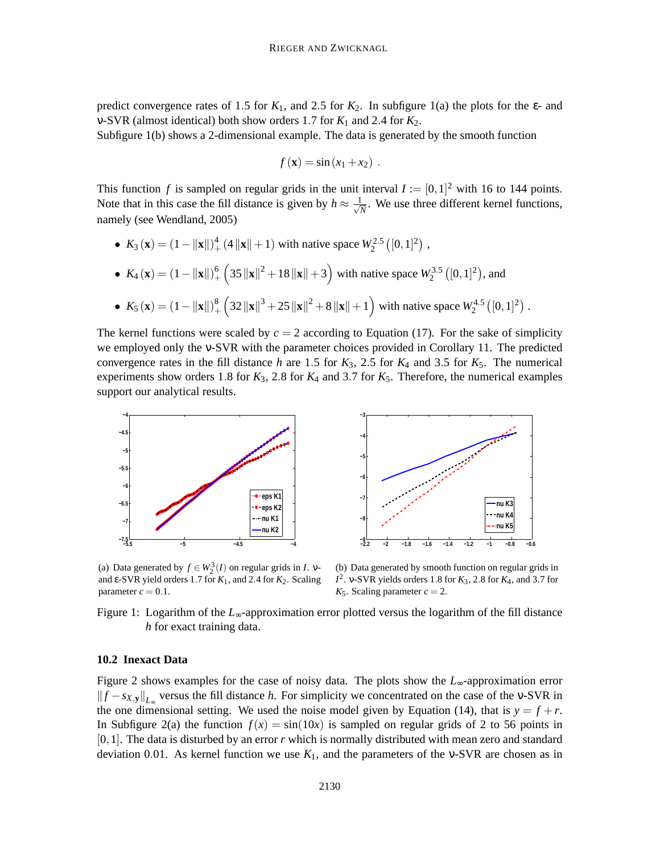predict convergence rates of 1.5 for  $K_1$ , and 2.5 for  $K_2$ . In subfigure 1(a) the plots for the  $\varepsilon$ - and v-SVR (almost identical) both show orders 1.7 for  $K_1$  and 2.4 for  $K_2$ .

Subfigure 1(b) shows a 2-dimensional example. The data is generated by the smooth function

$$
f(\mathbf{x}) = \sin(x_1 + x_2).
$$

This function *f* is sampled on regular grids in the unit interval  $I := [0,1]^2$  with 16 to 144 points. Note that in this case the fill distance is given by  $h \approx \frac{1}{\sqrt{l}}$  $\frac{1}{N}$ . We use three different kernel functions, namely (see Wendland, 2005)

• 
$$
K_3(\mathbf{x}) = (1 - ||\mathbf{x}||)^4 + (4||\mathbf{x}|| + 1)
$$
 with native space  $W_2^{2.5}([0, 1]^2)$ ,

• 
$$
K_4(\mathbf{x}) = (1 - ||\mathbf{x}||)^6_+
$$
  $(35 ||\mathbf{x}||^2 + 18 ||\mathbf{x}|| + 3)$  with native space  $W_2^{3.5}$   $([0, 1]^2)$ , and

• 
$$
K_5(\mathbf{x}) = (1 - ||\mathbf{x}||)^8 + (32 ||\mathbf{x}||^3 + 25 ||\mathbf{x}||^2 + 8 ||\mathbf{x}|| + 1)
$$
 with native space  $W_2^{4.5}([0, 1]^2)$ .

The kernel functions were scaled by  $c = 2$  according to Equation (17). For the sake of simplicity we employed only the ν-SVR with the parameter choices provided in Corollary 11. The predicted convergence rates in the fill distance *h* are 1.5 for  $K_3$ , 2.5 for  $K_4$  and 3.5 for  $K_5$ . The numerical experiments show orders 1.8 for  $K_3$ , 2.8 for  $K_4$  and 3.7 for  $K_5$ . Therefore, the numerical examples support our analytical results.



**−2.2 −2 −1.8 −1.6 −1.4 −1.2 −1 −0.8 −0.6 −9 −8 −7 −6 −5 −4 −3 nu K3 nu K4 nu K5**

(a) Data generated by  $f \in W_2^3(I)$  on regular grids in *I*.  $v$ and ε-SVR yield orders 1.7 for *K*1, and 2.4 for *K*2. Scaling parameter  $c = 0.1$ .

(b) Data generated by smooth function on regular grids in *I* 2 . ν-SVR yields orders 1.8 for *K*3, 2.8 for *K*4, and 3.7 for  $K_5$ . Scaling parameter  $c = 2$ .

Figure 1: Logarithm of the *L*∞-approximation error plotted versus the logarithm of the fill distance *h* for exact training data.

#### **10.2 Inexact Data**

Figure 2 shows examples for the case of noisy data. The plots show the *L*∞-approximation error  $||f - s_{X,y}||_{L_{\infty}}$  versus the fill distance *h*. For simplicity we concentrated on the case of the v-SVR in the one dimensional setting. We used the noise model given by Equation (14), that is  $y = f + r$ . In Subfigure 2(a) the function  $f(x) = \sin(10x)$  is sampled on regular grids of 2 to 56 points in [0,1]. The data is disturbed by an error *r* which is normally distributed with mean zero and standard deviation 0.01. As kernel function we use  $K_1$ , and the parameters of the v-SVR are chosen as in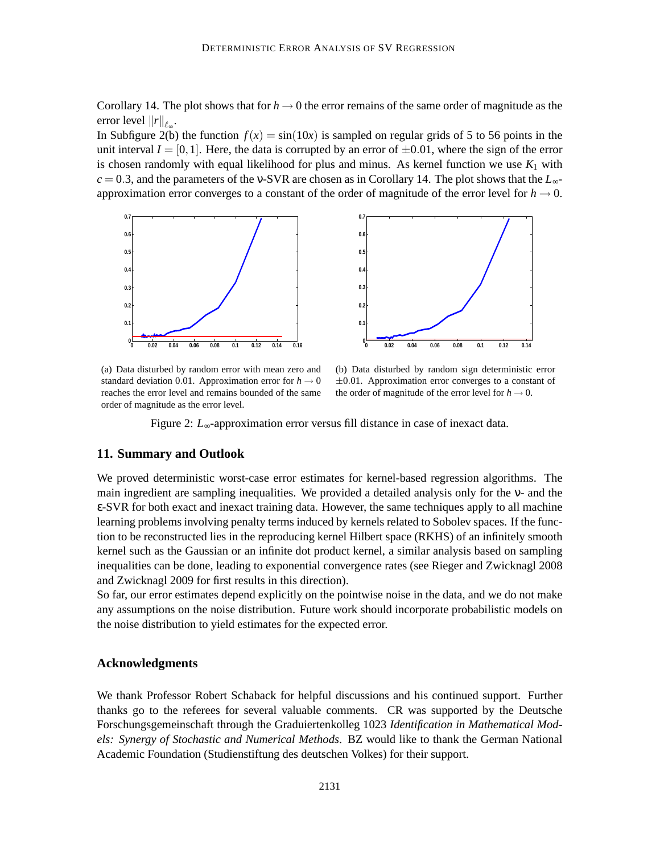Corollary 14. The plot shows that for  $h \to 0$  the error remains of the same order of magnitude as the error level  $||r||_{\ell_{\infty}}$ .

In Subfigure 2(b) the function  $f(x) = \sin(10x)$  is sampled on regular grids of 5 to 56 points in the unit interval  $I = [0,1]$ . Here, the data is corrupted by an error of  $\pm 0.01$ , where the sign of the error is chosen randomly with equal likelihood for plus and minus. As kernel function we use  $K_1$  with  $c = 0.3$ , and the parameters of the v-SVR are chosen as in Corollary 14. The plot shows that the  $L_{\infty}$ approximation error converges to a constant of the order of magnitude of the error level for  $h \to 0$ .



(a) Data disturbed by random error with mean zero and standard deviation 0.01. Approximation error for  $h \to 0$ reaches the error level and remains bounded of the same order of magnitude as the error level.

(b) Data disturbed by random sign deterministic error  $\pm 0.01$ . Approximation error converges to a constant of the order of magnitude of the error level for  $h \to 0$ .

Figure 2: *L*∞-approximation error versus fill distance in case of inexact data.

#### **11. Summary and Outlook**

We proved deterministic worst-case error estimates for kernel-based regression algorithms. The main ingredient are sampling inequalities. We provided a detailed analysis only for the ν- and the ε-SVR for both exact and inexact training data. However, the same techniques apply to all machine learning problems involving penalty terms induced by kernels related to Sobolev spaces. If the function to be reconstructed lies in the reproducing kernel Hilbert space (RKHS) of an infinitely smooth kernel such as the Gaussian or an infinite dot product kernel, a similar analysis based on sampling inequalities can be done, leading to exponential convergence rates (see Rieger and Zwicknagl 2008 and Zwicknagl 2009 for first results in this direction).

So far, our error estimates depend explicitly on the pointwise noise in the data, and we do not make any assumptions on the noise distribution. Future work should incorporate probabilistic models on the noise distribution to yield estimates for the expected error.

#### **Acknowledgments**

We thank Professor Robert Schaback for helpful discussions and his continued support. Further thanks go to the referees for several valuable comments. CR was supported by the Deutsche Forschungsgemeinschaft through the Graduiertenkolleg 1023 *Identification in Mathematical Models: Synergy of Stochastic and Numerical Methods*. BZ would like to thank the German National Academic Foundation (Studienstiftung des deutschen Volkes) for their support.